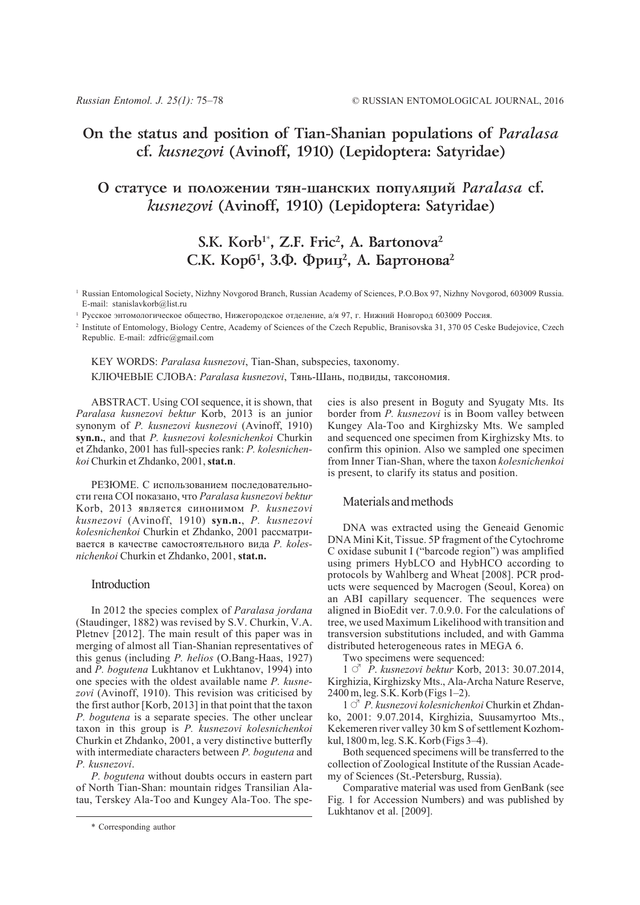# **On the status and position of Tian-Shanian populations of** *Paralasa* **cf.** *kusnezovi* **(Avinoff, 1910) (Lepidoptera: Satyridae)**

## **Î ñòàòóñå è ïîëîæåíèè òÿí-øàíñêèõ ïîïóëÿöèé** *Paralasa* **cf.** *kusnezovi* **(Avinoff, 1910) (Lepidoptera: Satyridae)**

# **S.K. Korb1**\* **, Z.F. Fric2 , A. Bartonova2** С.К. Корб<sup>1</sup>, З.Ф. Фриц<sup>2</sup>, А. Бартонова<sup>2</sup>

<sup>1</sup> Russian Entomological Society, Nizhny Novgorod Branch, Russian Academy of Sciences, P.O.Box 97, Nizhny Novgorod, 603009 Russia. E-mail: stanislavkorb@list.ru

<sup>1</sup> Русское энтомологическое общество, Нижегородское отделение, а/я 97, г. Нижний Новгород 603009 Россия.

<sup>2</sup> Institute of Entomology, Biology Centre, Academy of Sciences of the Czech Republic, Branisovska 31, 370 05 Ceske Budejovice, Czech Republic. E-mail: zdfric@gmail.com

KEY WORDS: *Paralasa kusnezovi*, Tian-Shan, subspecies, taxonomy. КЛЮЧЕВЫЕ СЛОВА: *Paralasa kusnezovi*, Тянь-Шань, подвиды, таксономия.

ABSTRACT. Using COI sequence, it is shown, that *Paralasa kusnezovi bektur* Korb, 2013 is an junior synonym of *P. kusnezovi kusnezovi* (Avinoff, 1910) **syn.n.**, and that *P. kusnezovi kolesnichenkoi* Churkin et Zhdanko, 2001 has full-species rank: *P. kolesnichenkoi* Churkin et Zhdanko, 2001, **stat.n**.

РЕЗЮМЕ. С использованием последовательности гена COI показано, что *Paralasa kusnezovi bektur* Korb, 2013 является синонимом *P. kusnezovi kusnezovi* (Avinoff, 1910) **syn.n.**, *P. kusnezovi kolesnichenkoi* Churkin et Zhdanko, 2001 рассматривается в качестве самостоятельного вида *P. kolesnichenkoi* Churkin et Zhdanko, 2001, **stat.n.**

### Introduction

In 2012 the species complex of *Paralasa jordana* (Staudinger, 1882) was revised by S.V. Churkin, V.A. Pletnev [2012]. The main result of this paper was in merging of almost all Tian-Shanian representatives of this genus (including *P. helios* (O.Bang-Haas, 1927) and *P. bogutena* Lukhtanov et Lukhtanov, 1994) into one species with the oldest available name *P. kusnezovi* (Avinoff, 1910). This revision was criticised by the first author [Korb, 2013] in that point that the taxon *P. bogutena* is a separate species. The other unclear taxon in this group is *P. kusnezovi kolesnichenkoi* Churkin et Zhdanko, 2001, a very distinctive butterfly with intermediate characters between *P. bogutena* and *P. kusnezovi*.

*P. bogutena* without doubts occurs in eastern part of North Tian-Shan: mountain ridges Transilian Alatau, Terskey Ala-Too and Kungey Ala-Too. The species is also present in Boguty and Syugaty Mts. Its border from *P. kusnezovi* is in Boom valley between Kungey Ala-Too and Kirghizsky Mts. We sampled and sequenced one specimen from Kirghizsky Mts. to confirm this opinion. Also we sampled one specimen from Inner Tian-Shan, where the taxon *kolesnichenkoi* is present, to clarify its status and position.

### Materials and methods

DNA was extracted using the Geneaid Genomic DNA Mini Kit, Tissue. 5P fragment of the Cytochrome C oxidase subunit I ("barcode region") was amplified using primers HybLCO and HybHCO according to protocols by Wahlberg and Wheat [2008]. PCR products were sequenced by Macrogen (Seoul, Korea) on an ABI capillary sequencer. The sequences were aligned in BioEdit ver. 7.0.9.0. For the calculations of tree, we used Maximum Likelihood with transition and transversion substitutions included, and with Gamma distributed heterogeneous rates in MEGA 6.

Two specimens were sequenced:

1 # *P*. *kusnezovi bektur* Korb, 2013: 30.07.2014, Kirghizia, Kirghizsky Mts., Ala-Archa Nature Reserve, 2400 m, leg. S.K. Korb (Figs 1–2).

1  $\circ$ <sup>7</sup> *P. kusnezovi kolesnichenkoi* Churkin et Zhdanko, 2001: 9.07.2014, Kirghizia, Suusamyrtoo Mts., Kekemeren river valley 30 km S of settlement Kozhomkul, 1800 m, leg. S.K. Korb (Figs 3–4).

Both sequenced specimens will be transferred to the collection of Zoological Institute of the Russian Academy of Sciences (St.-Petersburg, Russia).

Comparative material was used from GenBank (see Fig. 1 for Accession Numbers) and was published by Lukhtanov et al. [2009].

<sup>\*</sup> Corresponding author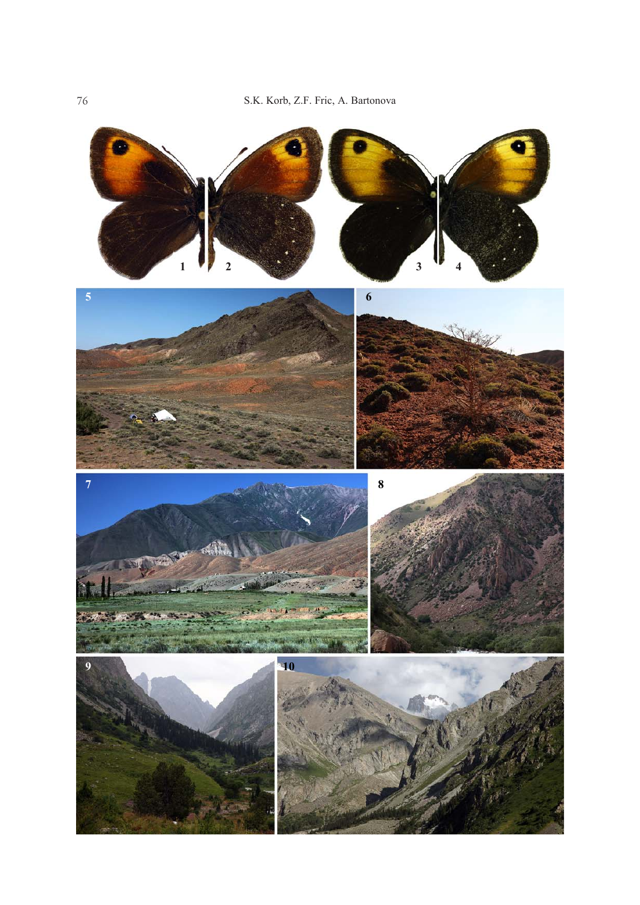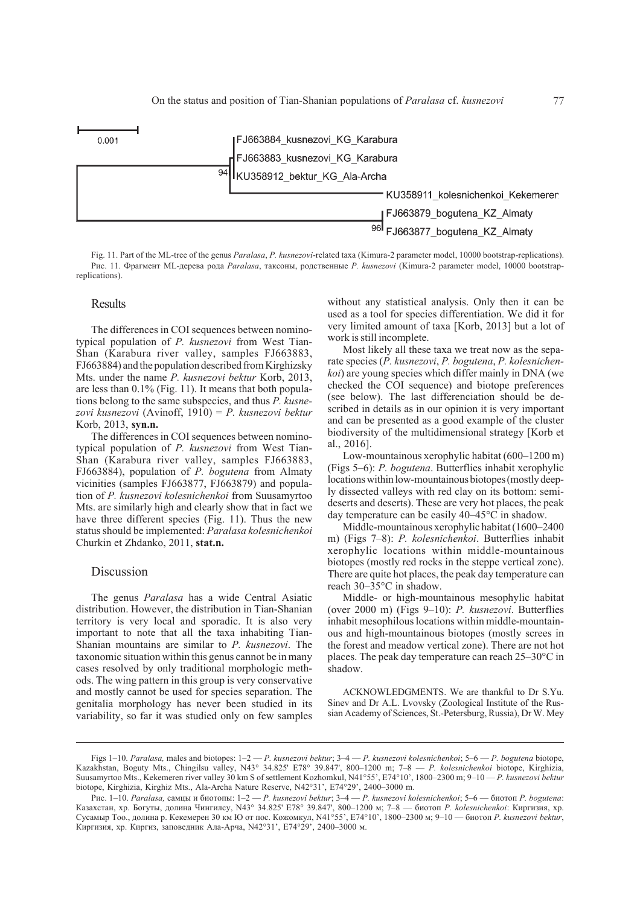

Fig. 11. Part of the ML-tree of the genus *Paralasa*, *P. kusnezovi*-related taxa (Kimura-2 parameter model, 10000 bootstrap-replications). Рис. 11. Фрагмент ML-дерева рода *Paralasa*, таксоны, родственные *P. kusnezovi* (Kimura-2 parameter model, 10000 bootstrapreplications).

#### **Results**

The differences in COI sequences between nominotypical population of *P. kusnezovi* from West Tian-Shan (Karabura river valley, samples FJ663883, FJ663884) and the population described from Kirghizsky Mts. under the name *P. kusnezovi bektur* Korb, 2013, are less than 0.1% (Fig. 11). It means that both populations belong to the same subspecies, and thus *P. kusnezovi kusnezovi* (Avinoff, 1910) = *P. kusnezovi bektur* Korb, 2013, **syn.n.**

The differences in COI sequences between nominotypical population of *P. kusnezovi* from West Tian-Shan (Karabura river valley, samples FJ663883, FJ663884), population of *P. bogutena* from Almaty vicinities (samples FJ663877, FJ663879) and population of *P. kusnezovi kolesnichenkoi* from Suusamyrtoo Mts. are similarly high and clearly show that in fact we have three different species (Fig. 11). Thus the new status should be implemented: *Paralasa kolesnichenkoi* Churkin et Zhdanko, 2011, **stat.n.**

### Discussion

The genus *Paralasa* has a wide Central Asiatic distribution. However, the distribution in Tian-Shanian territory is very local and sporadic. It is also very important to note that all the taxa inhabiting Tian-Shanian mountains are similar to *P. kusnezovi*. The taxonomic situation within this genus cannot be in many cases resolved by only traditional morphologic methods. The wing pattern in this group is very conservative and mostly cannot be used for species separation. The genitalia morphology has never been studied in its variability, so far it was studied only on few samples without any statistical analysis. Only then it can be used as a tool for species differentiation. We did it for very limited amount of taxa [Korb, 2013] but a lot of work is still incomplete.

Most likely all these taxa we treat now as the separate species (*P. kusnezovi*, *P. bogutena*, *P. kolesnichenkoi*) are young species which differ mainly in DNA (we checked the COI sequence) and biotope preferences (see below). The last differenciation should be described in details as in our opinion it is very important and can be presented as a good example of the cluster biodiversity of the multidimensional strategy [Korb et al., 2016].

Low-mountainous xerophylic habitat (600–1200 m) (Figs 5–6): *P. bogutena*. Butterflies inhabit xerophylic locations within low-mountainous biotopes (mostly deeply dissected valleys with red clay on its bottom: semideserts and deserts). These are very hot places, the peak day temperature can be easily 40–45°C in shadow.

Middle-mountainous xerophylic habitat (1600–2400 m) (Figs 7–8): *P. kolesnichenkoi*. Butterflies inhabit xerophylic locations within middle-mountainous biotopes (mostly red rocks in the steppe vertical zone). There are quite hot places, the peak day temperature can reach 30–35°C in shadow.

Middle- or high-mountainous mesophylic habitat (over 2000 m) (Figs 9–10): *P. kusnezovi*. Butterflies inhabit mesophilous locations within middle-mountainous and high-mountainous biotopes (mostly screes in the forest and meadow vertical zone). There are not hot places. The peak day temperature can reach 25–30°C in shadow.

ACKNOWLEDGMENTS. We are thankful to Dr S.Yu. Sinev and Dr A.L. Lvovsky (Zoological Institute of the Russian Academy of Sciences, St.-Petersburg, Russia), Dr W. Mey

Figs 1–10. *Paralasa,* males and biotopes: 1–2 — *P. kusnezovi bektur*; 3–4 — *P. kusnezovi kolesnichenkoi*; 5–6 — *P. bogutena* biotope, Kazakhstan, Boguty Mts., Chingilsu valley, N43° 34.825' E78° 39.847', 800–1200 m; 7–8 — *P. kolesnichenkoi* biotope, Kirghizia, Suusamyrtoo Mts., Kekemeren river valley 30 km S of settlement Kozhomkul, N41°55', E74°10', 1800–2300 m; 9–10 — *P. kusnezovi bektur* biotope, Kirghizia, Kirghiz Mts., Ala-Archa Nature Reserve, N42°31', E74°29', 2400–3000 m.

Рис. 1–10. *Paralasa,* самцы и биотопы: 1–2 — *P. kusnezovi bektur*; 3–4 — *P. kusnezovi kolesnichenkoi*; 5–6 — биотоп *P. bogutena*: Казахстан, хр. Богуты, долина Чингилсу, N43° 34.825' E78° 39.847', 800–1200 м; 7–8 — биотоп *P. kolesnichenkoi*: Киргизия, хр. Сусамыр Тоо., долина р. Кекемерен 30 км Ю от пос. Кожомкул, N41°55', E74°10', 1800–2300 м; 9–10 — биотоп *P. kusnezovi bektur*, Киргизия, хр. Киргиз, заповедник Ала-Арча, N42°31', E74°29', 2400–3000 м.